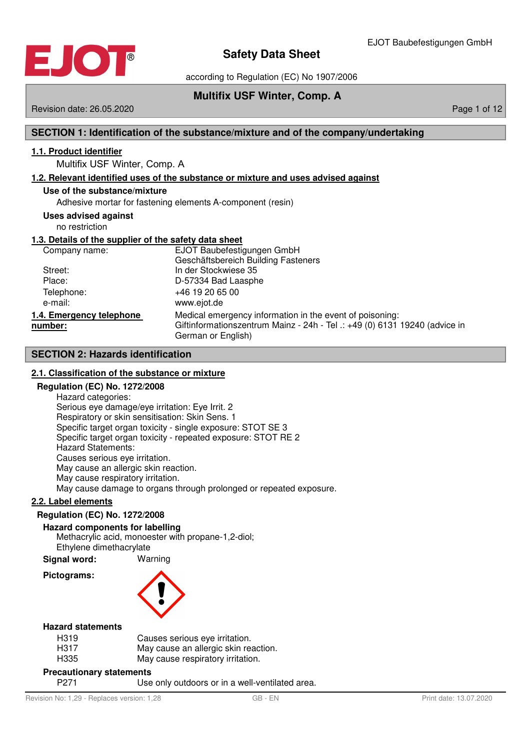

according to Regulation (EC) No 1907/2006

## **Multifix USF Winter, Comp. A**

Revision date: 26.05.2020 **Page 1 of 12** Page 1 of 12

## **SECTION 1: Identification of the substance/mixture and of the company/undertaking**

## **1 . 1 . Product identifier**

Multifix USF Winter, Comp. A

## **1 . 2 . Relevant identified uses of the substance or mixture and uses advised against**

## **Use of the substance/mixture**

Adhesive mortar for fastening elements A-component (resin)

## **Uses advised against**

no restriction

## **1 . 3 . Details of the supplier of the safety data sheet**

| Company name:                       | EJOT Baubefestigungen GmbH<br>Geschäftsbereich Building Fasteners                                                                                            |
|-------------------------------------|--------------------------------------------------------------------------------------------------------------------------------------------------------------|
| Street:                             | In der Stockwiese 35                                                                                                                                         |
| Place:                              | D-57334 Bad Laasphe                                                                                                                                          |
| Telephone:<br>e-mail:               | $+46$ 19 20 65 00<br>www.ejot.de                                                                                                                             |
| 1.4. Emergency telephone<br>number: | Medical emergency information in the event of poisoning:<br>Giftinformationszentrum Mainz - 24h - Tel .: +49 (0) 6131 19240 (advice in<br>German or English) |

## **SECTION 2: Hazards identification**

## **2 . 1 . Classification of the substance or mixture**

#### **Regulation (EC) No. 1272/2008**

Hazard categories: Serious eye damage/eye irritation: Eye Irrit. 2 Respiratory or skin sensitisation: Skin Sens. 1 Specific target organ toxicity - single exposure: STOT SE 3 Specific target organ toxicity - repeated exposure: STOT RE 2 Hazard Statements: Causes serious eye irritation. May cause an allergic skin reaction. May cause respiratory irritation. May cause damage to organs through prolonged or repeated exposure.

## **2 . 2 . Label elements**

## **Regulation (EC) No. 1272/2008**

**Hazard components for labelling**

Methacrylic acid, monoester with propane-1,2-diol; Ethylene dimethacrylate

**Signal word:** Warning

**Pictograms:**



## **Hazard statements**

| H319 | Causes serious eye irritation.       |
|------|--------------------------------------|
| H317 | May cause an allergic skin reaction. |
| H335 | May cause respiratory irritation.    |

## **Precautionary statements**

P271 Use only outdoors or in a well-ventilated area.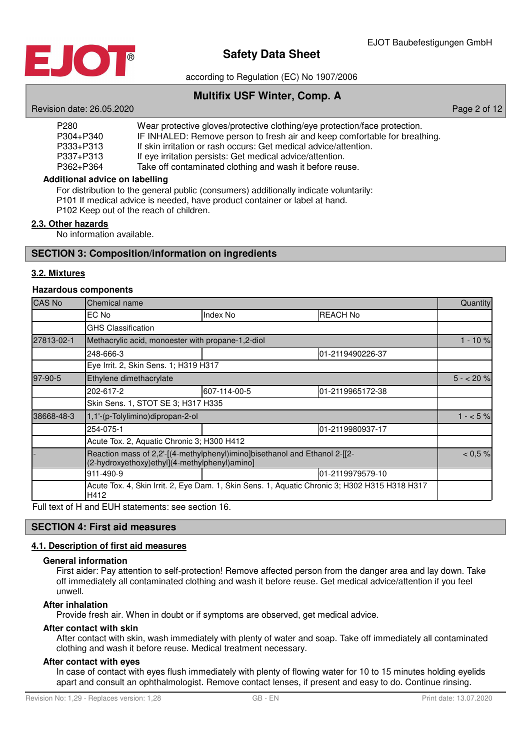

according to Regulation (EC) No 1907/2006

## **Multifix USF Winter, Comp. A**

Revision date: 26.05.2020 **Page 2 of 12** 

| P <sub>280</sub> | Wear protective gloves/protective clothing/eye protection/face protection. |
|------------------|----------------------------------------------------------------------------|
| P304+P340        | IF INHALED: Remove person to fresh air and keep comfortable for breathing. |
| P333+P313        | If skin irritation or rash occurs: Get medical advice/attention.           |
| P337+P313        | If eye irritation persists: Get medical advice/attention.                  |
| P362+P364        | Take off contaminated clothing and wash it before reuse.                   |

## **Additional advice on labelling**

For distribution to the general public (consumers) additionally indicate voluntarily:

P101 If medical advice is needed, have product container or label at hand.

P102 Keep out of the reach of children.

## **2 . 3 . Other hazards**

No information available.

## **SECTION 3: Composition/information on ingredients**

## **3 . 2 . Mixtures**

## **Hazardous components**

| <b>CAS No</b> | Chemical name                                                                                                               |              |                  | Quantity    |  |
|---------------|-----------------------------------------------------------------------------------------------------------------------------|--------------|------------------|-------------|--|
|               | EC No                                                                                                                       | Index No     | <b>REACH No</b>  |             |  |
|               | <b>GHS Classification</b>                                                                                                   |              |                  |             |  |
| 27813-02-1    | Methacrylic acid, monoester with propane-1,2-diol                                                                           |              |                  | $1 - 10%$   |  |
|               | 248-666-3                                                                                                                   |              | 01-2119490226-37 |             |  |
|               | Eye Irrit. 2, Skin Sens. 1; H319 H317                                                                                       |              |                  |             |  |
| 97-90-5       | Ethylene dimethacrylate                                                                                                     |              |                  | $5 - 20 \%$ |  |
|               | 202-617-2                                                                                                                   | 607-114-00-5 | 01-2119965172-38 |             |  |
|               | Skin Sens. 1, STOT SE 3; H317 H335                                                                                          |              |                  |             |  |
| 38668-48-3    | 1,1'-(p-Tolylimino)dipropan-2-ol                                                                                            |              |                  | $1 - 5\%$   |  |
|               | 254-075-1                                                                                                                   |              | 01-2119980937-17 |             |  |
|               | Acute Tox. 2, Aquatic Chronic 3; H300 H412                                                                                  |              |                  |             |  |
|               | Reaction mass of 2,2'-[(4-methylphenyl)imino]bisethanol and Ethanol 2-[[2-<br>(2-hydroxyethoxy)ethyl](4-methylphenyl)amino] |              |                  |             |  |
|               | 911-490-9                                                                                                                   |              | 01-2119979579-10 |             |  |
|               | Acute Tox. 4, Skin Irrit. 2, Eye Dam. 1, Skin Sens. 1, Aquatic Chronic 3; H302 H315 H318 H317<br>H412                       |              |                  |             |  |

Full text of H and EUH statements: see section 16.

#### **SECTION 4: First aid measures**

## **4 . 1 . Description of first aid measures**

#### **General information**

First aider: Pay attention to self-protection! Remove affected person from the danger area and lay down. Take off immediately all contaminated clothing and wash it before reuse. Get medical advice/attention if you feel unwell.

#### **After inhalation**

Provide fresh air. When in doubt or if symptoms are observed, get medical advice.

## **After contact with skin**

After contact with skin, wash immediately with plenty of water and soap. Take off immediately all contaminated clothing and wash it before reuse. Medical treatment necessary.

## **After contact with eyes**

In case of contact with eyes flush immediately with plenty of flowing water for 10 to 15 minutes holding eyelids apart and consult an ophthalmologist. Remove contact lenses, if present and easy to do. Continue rinsing.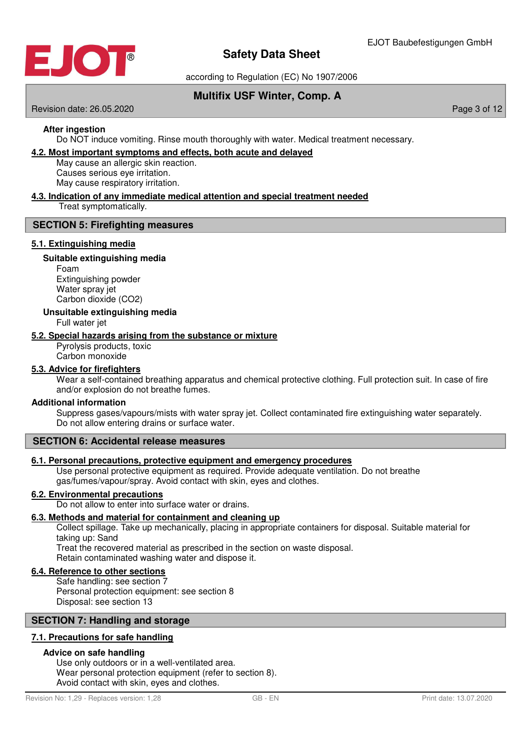

according to Regulation (EC) No 1907/2006

## **Multifix USF Winter, Comp. A**

Revision date: 26.05.2020 **Page 3 of 12** According to 2011 12:00 Page 3 of 12

## **After ingestion**

Do NOT induce vomiting. Rinse mouth thoroughly with water. Medical treatment necessary.

## **4 . 2 . Most important symptoms and effects , both acute and delayed**

May cause an allergic skin reaction. Causes serious eye irritation.

May cause respiratory irritation.

# **4 . 3 . Indication of any immediate medical attention and special treatment needed**

Treat symptomatically.

## **SECTION 5: Firefighting measures**

## **5 . 1 . Extinguishing media**

## **Suitable extinguishing media**

Foam Extinguishing powder Water spray jet Carbon dioxide (CO2)

## **Unsuitable extinguishing media**

Full water jet

## **5 . 2 . Special hazards arising from the substance or mixture**

Pyrolysis products, toxic Carbon monoxide

## **5 . 3 . Advice for firefighters**

Wear a self-contained breathing apparatus and chemical protective clothing. Full protection suit. In case of fire and/or explosion do not breathe fumes.

## **Additional information**

Suppress gases/vapours/mists with water spray jet. Collect contaminated fire extinguishing water separately. Do not allow entering drains or surface water.

## **SECTION 6: Accidental release measures**

## **6 . 1 . Personal precautions , protective equipment and emergency procedures**

Use personal protective equipment as required. Provide adequate ventilation. Do not breathe gas/fumes/vapour/spray. Avoid contact with skin, eyes and clothes.

## **6 . 2 . Environmental precautions**

Do not allow to enter into surface water or drains.

## **6 . 3 . Methods and material for containment and cleaning up**

Collect spillage. Take up mechanically, placing in appropriate containers for disposal. Suitable material for taking up: Sand

Treat the recovered material as prescribed in the section on waste disposal.

Retain contaminated washing water and dispose it.

## **6 . 4 . Reference to other sections**

Safe handling: see section 7 Personal protection equipment: see section 8 Disposal: see section 13

## **SECTION 7: Handling and storage**

## **7 . 1 . Precautions for safe handling**

## **Advice on safe handling**

Use only outdoors or in a well-ventilated area. Wear personal protection equipment (refer to section 8). Avoid contact with skin, eyes and clothes.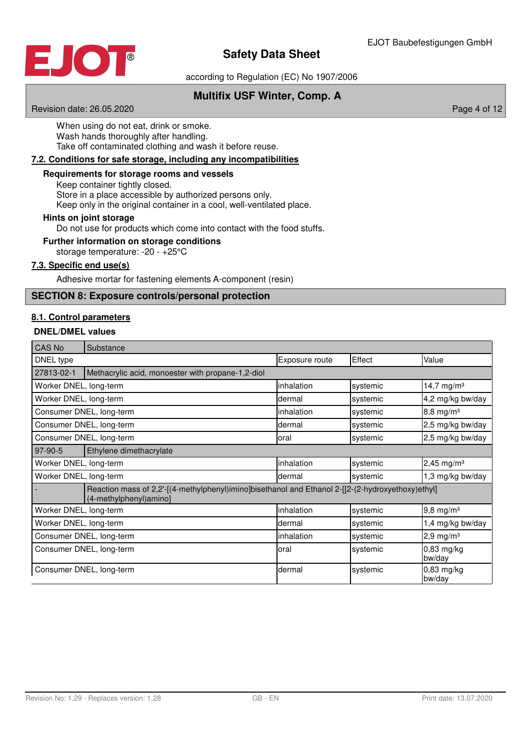

according to Regulation (EC) No 1907/2006

## **Multifix USF Winter, Comp. A**

Revision date: 26.05.2020 **Page 4 of 12** Page 4 of 12

When using do not eat, drink or smoke. Wash hands thoroughly after handling. Take off contaminated clothing and wash it before reuse.

## **7 . 2 . Conditions for safe storage , including any incompatibilities**

## **Requirements for storage rooms and vessels**

Keep container tightly closed. Store in a place accessible by authorized persons only. Keep only in the original container in a cool, well-ventilated place.

#### **Hints on joint storage**

Do not use for products which come into contact with the food stuffs.

## **Further information on storage conditions**

storage temperature: -20 - +25°C

## **7 . 3 . Specific end use ( s )**

Adhesive mortar for fastening elements A-component (resin)

## **SECTION 8: Exposure controls/personal protection**

## **8 . 1 . Control parameters**

## **DNEL/DMEL values**

| CAS No                                                                                                                      | Substance                                         |                |          |                          |
|-----------------------------------------------------------------------------------------------------------------------------|---------------------------------------------------|----------------|----------|--------------------------|
| DNEL type                                                                                                                   |                                                   | Exposure route | Effect   | Value                    |
| 27813-02-1                                                                                                                  | Methacrylic acid, monoester with propane-1,2-diol |                |          |                          |
| Worker DNEL, long-term                                                                                                      |                                                   | inhalation     | systemic | 14,7 mg/m <sup>3</sup>   |
| Worker DNEL, long-term                                                                                                      |                                                   | dermal         | systemic | 4,2 mg/kg bw/day         |
|                                                                                                                             | Consumer DNEL, long-term                          | inhalation     | systemic | $8,8 \, \text{mg/m}^3$   |
|                                                                                                                             | Consumer DNEL, long-term                          | dermal         | systemic | 2,5 mg/kg bw/day         |
| Consumer DNEL, long-term                                                                                                    |                                                   | loral          | systemic | 2,5 mg/kg bw/day         |
| 97-90-5                                                                                                                     | Ethylene dimethacrylate                           |                |          |                          |
| Worker DNEL, long-term                                                                                                      |                                                   | inhalation     | systemic | $2,45$ mg/m <sup>3</sup> |
| Worker DNEL, long-term                                                                                                      |                                                   | dermal         | systemic | 1,3 mg/kg bw/day         |
| Reaction mass of 2,2'-[(4-methylphenyl)imino]bisethanol and Ethanol 2-[[2-(2-hydroxyethoxy)ethyl]<br>(4-methylphenyl)amino] |                                                   |                |          |                          |
| Worker DNEL, long-term                                                                                                      |                                                   | inhalation     | systemic | $9,8 \, \text{mg/m}^3$   |
| Worker DNEL, long-term                                                                                                      |                                                   | dermal         | systemic | 1,4 mg/kg bw/day         |
| Consumer DNEL, long-term                                                                                                    |                                                   | inhalation     | systemic | $2,9$ mg/m <sup>3</sup>  |
| Consumer DNEL, long-term                                                                                                    |                                                   | loral          | systemic | 0,83 mg/kg<br>bw/day     |
| Consumer DNEL, long-term                                                                                                    |                                                   | dermal         | systemic | $0,83$ mg/kg<br>bw/day   |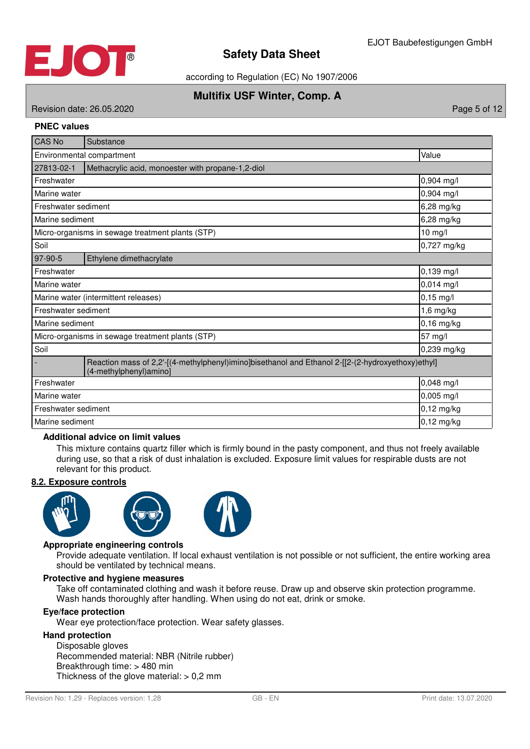

according to Regulation (EC) No 1907/2006

## **Multifix USF Winter, Comp. A**

# Revision date: 26.05.2020 **Page 5 of 12**

## **PNEC values**

| <b>CAS No</b>                                                                                                               | Substance                                         |              |  |
|-----------------------------------------------------------------------------------------------------------------------------|---------------------------------------------------|--------------|--|
| Value<br>Environmental compartment                                                                                          |                                                   |              |  |
| 27813-02-1                                                                                                                  | Methacrylic acid, monoester with propane-1,2-diol |              |  |
| Freshwater                                                                                                                  |                                                   | 0,904 mg/l   |  |
| Marine water                                                                                                                |                                                   | 0,904 mg/l   |  |
| Freshwater sediment                                                                                                         |                                                   | 6,28 mg/kg   |  |
| Marine sediment                                                                                                             |                                                   | 6,28 mg/kg   |  |
|                                                                                                                             | Micro-organisms in sewage treatment plants (STP)  | $10$ mg/l    |  |
| Soil                                                                                                                        |                                                   | 0,727 mg/kg  |  |
| 97-90-5                                                                                                                     | Ethylene dimethacrylate                           |              |  |
| Freshwater                                                                                                                  | 0,139 mg/l                                        |              |  |
| 0,014 mg/l<br>Marine water                                                                                                  |                                                   |              |  |
| $0,15$ mg/l<br>Marine water (intermittent releases)                                                                         |                                                   |              |  |
| Freshwater sediment<br>$1,6$ mg/kg                                                                                          |                                                   |              |  |
| Marine sediment                                                                                                             |                                                   | $0,16$ mg/kg |  |
|                                                                                                                             | Micro-organisms in sewage treatment plants (STP)  | 57 mg/l      |  |
| Soil                                                                                                                        |                                                   | 0,239 mg/kg  |  |
| Reaction mass of 2,2'-[(4-methylphenyl)imino]bisethanol and Ethanol 2-[[2-(2-hydroxyethoxy)ethyl]<br>(4-methylphenyl)amino] |                                                   |              |  |
| Freshwater                                                                                                                  |                                                   | 0,048 mg/l   |  |
| $0,005$ mg/l<br>Marine water                                                                                                |                                                   |              |  |
|                                                                                                                             | Freshwater sediment<br>$0,12$ mg/kg               |              |  |
| Marine sediment                                                                                                             |                                                   | $0,12$ mg/kg |  |

### **Additional advice on limit values**

This mixture contains quartz filler which is firmly bound in the pasty component, and thus not freely available during use, so that a risk of dust inhalation is excluded. Exposure limit values for respirable dusts are not relevant for this product.

#### **8 . 2 . Exposure controls**







## **Appropriate engineering controls**

Provide adequate ventilation. If local exhaust ventilation is not possible or not sufficient, the entire working area should be ventilated by technical means.

## **Protective and hygiene measures**

Take off contaminated clothing and wash it before reuse. Draw up and observe skin protection programme. Wash hands thoroughly after handling. When using do not eat, drink or smoke.

#### **Eye/face protection**

Wear eye protection/face protection. Wear safety glasses.

#### **Hand protection**

Disposable gloves Recommended material: NBR (Nitrile rubber) Breakthrough time: > 480 min Thickness of the glove material:  $> 0.2$  mm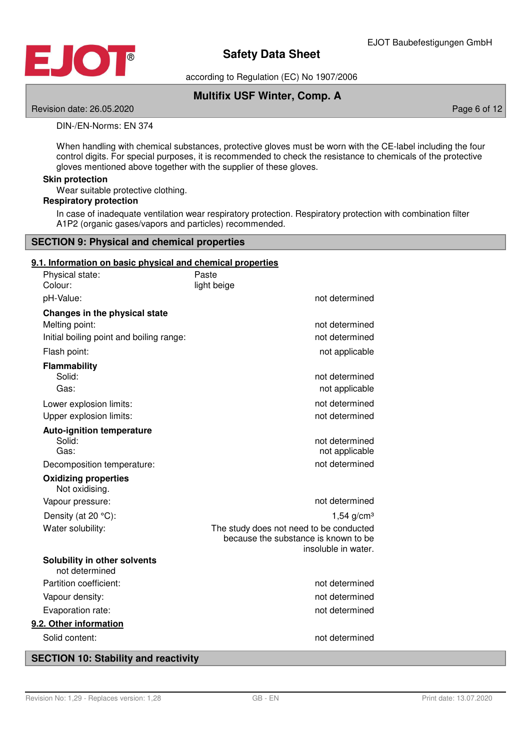

according to Regulation (EC) No 1907/2006

## **Multifix USF Winter, Comp. A**

Revision date: 26.05.2020 **Page 6 of 12** Page 6 of 12

## DIN-/EN-Norms: EN 374

When handling with chemical substances, protective gloves must be worn with the CE-label including the four control digits. For special purposes, it is recommended to check the resistance to chemicals of the protective gloves mentioned above together with the supplier of these gloves.

## **Skin protection**

Wear suitable protective clothing.

## **Respiratory protection**

In case of inadequate ventilation wear respiratory protection. Respiratory protection with combination filter A1P2 (organic gases/vapors and particles) recommended.

## **SECTION 9: Physical and chemical properties**

## **9 . 1 . Information on basic physical and chemical properties**

| Physical state:<br>Colour:               | Paste<br>light beige                                        |
|------------------------------------------|-------------------------------------------------------------|
| pH-Value:                                | not determined                                              |
| Changes in the physical state            |                                                             |
| Melting point:                           | not determined                                              |
| Initial boiling point and boiling range: | not determined                                              |
| Flash point:                             | not applicable                                              |
| Flammability                             |                                                             |
| Solid:                                   | not determined                                              |
| Gas:                                     | not applicable                                              |
| Lower explosion limits:                  | not determined                                              |
| Upper explosion limits:                  | not determined                                              |
| <b>Auto-ignition temperature</b>         |                                                             |
| Solid:<br>Gas:                           | not determined<br>not applicable                            |
| Decomposition temperature:               | not determined                                              |
| <b>Oxidizing properties</b>              |                                                             |
| Not oxidising.                           |                                                             |
| Vapour pressure:                         | not determined                                              |
| Density (at 20 °C):                      | $1,54$ g/cm <sup>3</sup>                                    |
| Water solubility:                        | The study does not need to be conducted                     |
|                                          | because the substance is known to be<br>insoluble in water. |
| Solubility in other solvents             |                                                             |
| not determined                           |                                                             |
| Partition coefficient:                   | not determined                                              |
| Vapour density:                          | not determined                                              |
| Evaporation rate:                        | not determined                                              |
| 9.2. Other information                   |                                                             |
| Solid content:                           | not determined                                              |
|                                          |                                                             |

## **SECTION 10: Stability and reactivity**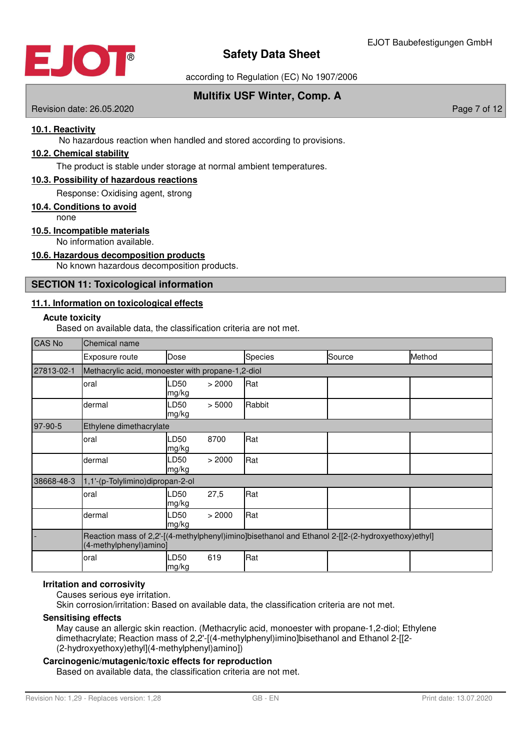

according to Regulation (EC) No 1907/2006

## **Multifix USF Winter, Comp. A**

Revision date: 26.05.2020 **Page 7 of 12** According to the extra set of the extra set of the extra set of the extra set of the extra set of the extra set of the extra set of the extra set of the extra set of the extra set o

## **10 . 1 . Reactivity**

No hazardous reaction when handled and stored according to provisions.

## **10 . 2 . Chemical stability**

The product is stable under storage at normal ambient temperatures.

## **10 . 3 . Possibility of hazardous reactions**

Response: Oxidising agent, strong

#### **10 . 4 . Conditions to avoid**

none

## **10 . 5 . Incompatible materials**

No information available.

## **10 . 6 . Hazardous decomposition products**

No known hazardous decomposition products.

## **SECTION 11: Toxicological information**

## **11 . 1 . Information on toxicological effects**

#### **Acute toxicity**

Based on available data, the classification criteria are not met.

| <b>CAS No</b> | Chemical name                                                                                                               |                     |        |         |        |        |
|---------------|-----------------------------------------------------------------------------------------------------------------------------|---------------------|--------|---------|--------|--------|
|               | Exposure route                                                                                                              | Dose                |        | Species | Source | Method |
| 27813-02-1    | Methacrylic acid, monoester with propane-1,2-diol                                                                           |                     |        |         |        |        |
|               | oral                                                                                                                        | D50<br>mg/kg        | > 2000 | Rat     |        |        |
|               | dermal                                                                                                                      | <b>D50</b><br>mg/kg | > 5000 | Rabbit  |        |        |
| 97-90-5       | Ethylene dimethacrylate                                                                                                     |                     |        |         |        |        |
|               | oral                                                                                                                        | _D50<br>mg/kg       | 8700   | Rat     |        |        |
|               | dermal                                                                                                                      | .D50<br>mg/kg       | > 2000 | Rat     |        |        |
| 38668-48-3    | 1,1'-(p-Tolylimino)dipropan-2-ol                                                                                            |                     |        |         |        |        |
|               | oral                                                                                                                        | <b>D50</b><br>mg/kg | 27,5   | Rat     |        |        |
|               | dermal                                                                                                                      | LD50<br>mg/kg       | > 2000 | Rat     |        |        |
|               | Reaction mass of 2,2'-[(4-methylphenyl)imino]bisethanol and Ethanol 2-[[2-(2-hydroxyethoxy)ethyl]<br>(4-methylphenyl)amino] |                     |        |         |        |        |
|               | oral                                                                                                                        | D50-<br>mg/kg       | 619    | Rat     |        |        |

### **Irritation and corrosivity**

Causes serious eye irritation.

Skin corrosion/irritation: Based on available data, the classification criteria are not met.

## **Sensitising effects**

May cause an allergic skin reaction. (Methacrylic acid, monoester with propane-1,2-diol; Ethylene dimethacrylate; Reaction mass of 2,2'-[(4-methylphenyl)imino]bisethanol and Ethanol 2-[[2- (2-hydroxyethoxy)ethyl](4-methylphenyl)amino])

## **Carcinogenic/mutagenic/toxic effects for reproduction**

Based on available data, the classification criteria are not met.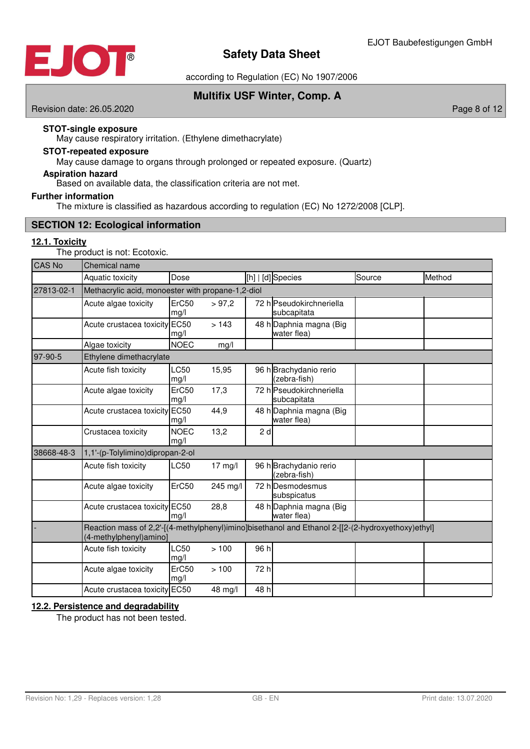

according to Regulation (EC) No 1907/2006

**Multifix USF Winter, Comp. A**

Revision date: 26.05.2020 **Page 8 of 12** Page 8 of 12

## **STOT-single exposure**

May cause respiratory irritation. (Ethylene dimethacrylate)

## May cause damage to organs through prolonged or repeated exposure. (Quartz) **STOT-repeated exposure**

**Aspiration hazard**

Based on available data, the classification criteria are not met.

## **Further information**

The mixture is classified as hazardous according to regulation (EC) No 1272/2008 [CLP].

## **SECTION 12: Ecological information**

## **12 . 1 . Toxicity**

The product is not: Ecotoxic.

| <b>CAS No</b> | Chemical name                                                                                                               |                     |           |      |                                         |        |        |
|---------------|-----------------------------------------------------------------------------------------------------------------------------|---------------------|-----------|------|-----------------------------------------|--------|--------|
|               | Aquatic toxicity                                                                                                            | Dose                |           |      | [h]   [d] Species                       | Source | Method |
| 27813-02-1    | Methacrylic acid, monoester with propane-1,2-diol                                                                           |                     |           |      |                                         |        |        |
|               | Acute algae toxicity                                                                                                        | ErC50<br>mg/l       | > 97,2    |      | 72 hlPseudokirchneriella<br>subcapitata |        |        |
|               | Acute crustacea toxicity EC50                                                                                               | mg/l                | >143      |      | 48 h Daphnia magna (Big<br>water flea)  |        |        |
|               | Algae toxicity                                                                                                              | <b>NOEC</b>         | mg/l      |      |                                         |        |        |
| 97-90-5       | Ethylene dimethacrylate                                                                                                     |                     |           |      |                                         |        |        |
|               | Acute fish toxicity                                                                                                         | LC50<br>mg/l        | 15,95     |      | 96 h Brachydanio rerio<br>(zebra-fish)  |        |        |
|               | Acute algae toxicity                                                                                                        | ErC50<br>mg/l       | 17,3      |      | 72 h Pseudokirchneriella<br>subcapitata |        |        |
|               | Acute crustacea toxicity                                                                                                    | <b>EC50</b><br>mg/l | 44,9      |      | 48 h Daphnia magna (Big<br>water flea)  |        |        |
|               | Crustacea toxicity                                                                                                          | <b>NOEC</b><br>mg/l | 13,2      | 2d   |                                         |        |        |
| 38668-48-3    | 1,1'-(p-Tolylimino)dipropan-2-ol                                                                                            |                     |           |      |                                         |        |        |
|               | Acute fish toxicity                                                                                                         | LC50                | $17$ mg/l |      | 96 h Brachydanio rerio<br>(zebra-fish)  |        |        |
|               | Acute algae toxicity                                                                                                        | ErC50               | 245 mg/l  |      | 72 h Desmodesmus<br>subspicatus         |        |        |
|               | Acute crustacea toxicity EC50                                                                                               | mq/l                | 28,8      |      | 48 h Daphnia magna (Big<br>water flea)  |        |        |
|               | Reaction mass of 2,2'-[(4-methylphenyl)imino]bisethanol and Ethanol 2-[[2-(2-hydroxyethoxy)ethyl]<br>(4-methylphenyl)amino] |                     |           |      |                                         |        |        |
|               | Acute fish toxicity                                                                                                         | LC50<br>mg/l        | >100      | 96 h |                                         |        |        |
|               | Acute algae toxicity                                                                                                        | ErC50<br>mg/l       | >100      | 72 h |                                         |        |        |
|               | Acute crustacea toxicity EC50                                                                                               |                     | 48 mg/l   | 48 h |                                         |        |        |

## **12 . 2 . Persistence and degradability**

The product has not been tested.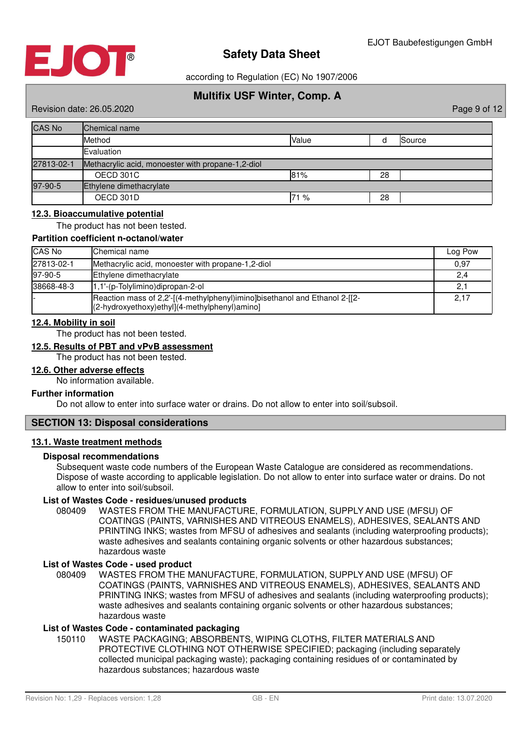

according to Regulation (EC) No 1907/2006

# **Multifix USF Winter, Comp. A**

Revision date: 26.05.2020 **Page 9 of 12** According to the extra set of the extra set of the extra set of the extra set of the extra set of the extra set of the extra set of the extra set of the extra set of the extra set o

| <b>CAS No</b> | Chemical name                                     |       |    |        |
|---------------|---------------------------------------------------|-------|----|--------|
|               | Method                                            | Value |    | Source |
|               | Evaluation                                        |       |    |        |
| 27813-02-1    | Methacrylic acid, monoester with propane-1,2-diol |       |    |        |
|               | OECD 301C                                         | 81%   | 28 |        |
| 97-90-5       | Ethylene dimethacrylate                           |       |    |        |
|               | OECD 301D                                         | 71 %  | 28 |        |

## **12 . 3 . Bioaccumulative potential**

The product has not been tested.

## **Partition coefficient n-octanol/water**

| <b>CAS No</b> | Chemical name                                                                                                                | Log Pow |
|---------------|------------------------------------------------------------------------------------------------------------------------------|---------|
| 27813-02-1    | Methacrylic acid, monoester with propane-1,2-diol                                                                            | 0,97    |
| 97-90-5       | Ethylene dimethacrylate                                                                                                      | 2,4     |
| 38668-48-3    | 1,1'-(p-Tolylimino)dipropan-2-ol                                                                                             |         |
|               | Reaction mass of 2,2'-[(4-methylphenyl)imino]bisethanol and Ethanol 2-[[2-<br>[(2-hydroxyethoxy)ethyl](4-methylphenyl)amino] | 2,17    |

#### **12 . 4 . Mobility in soil**

The product has not been tested.

## **12 . 5 . Results of PBT and vPvB assessment**

The product has not been tested.

#### **12 . 6 . Other adverse effects**

No information available.

#### **Further information**

Do not allow to enter into surface water or drains. Do not allow to enter into soil/subsoil.

## **SECTION 13: Disposal considerations**

## **13 . 1 . Waste treatment methods**

#### **Disposal recommendations**

Subsequent waste code numbers of the European Waste Catalogue are considered as recommendations. Dispose of waste according to applicable legislation. Do not allow to enter into surface water or drains. Do not allow to enter into soil/subsoil.

#### **List of Wastes Code - residues/unused products**

080409 WASTES FROM THE MANUFACTURE, FORMULATION, SUPPLY AND USE (MFSU) OF COATINGS (PAINTS, VARNISHES AND VITREOUS ENAMELS), ADHESIVES, SEALANTS AND PRINTING INKS; wastes from MFSU of adhesives and sealants (including waterproofing products); waste adhesives and sealants containing organic solvents or other hazardous substances; hazardous waste

## **List of Wastes Code - used product**

WASTES FROM THE MANUFACTURE, FORMULATION, SUPPLY AND USE (MFSU) OF COATINGS (PAINTS, VARNISHES AND VITREOUS ENAMELS), ADHESIVES, SEALANTS AND PRINTING INKS; wastes from MFSU of adhesives and sealants (including waterproofing products); waste adhesives and sealants containing organic solvents or other hazardous substances; hazardous waste 080409

## **List of Wastes Code - contaminated packaging**

WASTE PACKAGING; ABSORBENTS, WIPING CLOTHS, FILTER MATERIALS AND PROTECTIVE CLOTHING NOT OTHERWISE SPECIFIED; packaging (including separately collected municipal packaging waste); packaging containing residues of or contaminated by hazardous substances; hazardous waste 150110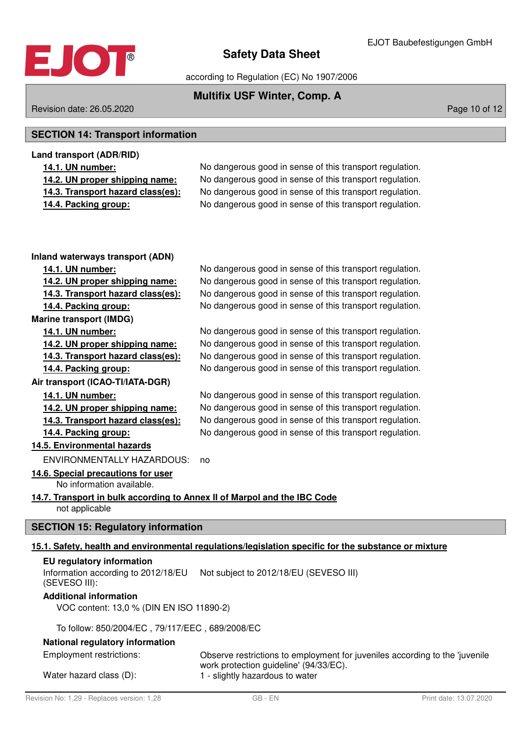

according to Regulation (EC) No 1907/2006

# **Multifix USF Winter, Comp. A**

## Revision date: 26.05.2020 **Page 10 of 12**

# **SECTION 14: Transport information**

| Land transport (ADR/RID)          |                                                          |
|-----------------------------------|----------------------------------------------------------|
| 14.1. UN number:                  | No dangerous good in sense of this transport regulation. |
| 14.2. UN proper shipping name:    | No dangerous good in sense of this transport regulation. |
| 14.3. Transport hazard class(es): | No dangerous good in sense of this transport regulation. |
| 14.4. Packing group:              | No dangerous good in sense of this transport regulation. |

| Inland waterways transport (ADN)                                                           |                                                                                                                                                          |
|--------------------------------------------------------------------------------------------|----------------------------------------------------------------------------------------------------------------------------------------------------------|
| 14.1. UN number:                                                                           | No dangerous good in sense of this transport regulation.                                                                                                 |
| 14.2. UN proper shipping name:                                                             | No dangerous good in sense of this transport regulation.                                                                                                 |
| 14.3. Transport hazard class(es):                                                          | No dangerous good in sense of this transport regulation.                                                                                                 |
| 14.4. Packing group:                                                                       | No dangerous good in sense of this transport regulation.                                                                                                 |
| <b>Marine transport (IMDG)</b>                                                             |                                                                                                                                                          |
| 14.1. UN number:                                                                           | No dangerous good in sense of this transport regulation.                                                                                                 |
| 14.2. UN proper shipping name:                                                             | No dangerous good in sense of this transport regulation.                                                                                                 |
| 14.3. Transport hazard class(es):                                                          | No dangerous good in sense of this transport regulation.                                                                                                 |
| 14.4. Packing group:                                                                       | No dangerous good in sense of this transport regulation.                                                                                                 |
| Air transport (ICAO-TI/IATA-DGR)                                                           |                                                                                                                                                          |
| 14.1. UN number:                                                                           | No dangerous good in sense of this transport regulation.                                                                                                 |
| 14.2. UN proper shipping name:                                                             | No dangerous good in sense of this transport regulation.                                                                                                 |
| 14.3. Transport hazard class(es):                                                          | No dangerous good in sense of this transport regulation.                                                                                                 |
| 14.4. Packing group:                                                                       | No dangerous good in sense of this transport regulation.                                                                                                 |
| 14.5. Environmental hazards                                                                |                                                                                                                                                          |
| <b>ENVIRONMENTALLY HAZARDOUS:</b>                                                          | no                                                                                                                                                       |
|                                                                                            |                                                                                                                                                          |
| 14.6. Special precautions for user<br>No information available.                            |                                                                                                                                                          |
| 14.7. Transport in bulk according to Annex II of Marpol and the IBC Code<br>not applicable |                                                                                                                                                          |
| <b>SECTION 15: Regulatory information</b>                                                  |                                                                                                                                                          |
|                                                                                            | 15.1. Safety, health and environmental regulations/legislation specific for the substance or mixture                                                     |
| <b>EU</b> regulatory information                                                           |                                                                                                                                                          |
| Information according to 2012/18/EU<br>(SEVESO III):                                       | Not subject to 2012/18/EU (SEVESO III)                                                                                                                   |
| <b>Additional information</b>                                                              |                                                                                                                                                          |
| VOC content: 13,0 % (DIN EN ISO 11890-2)                                                   |                                                                                                                                                          |
| To follow: 850/2004/EC, 79/117/EEC, 689/2008/EC                                            |                                                                                                                                                          |
|                                                                                            |                                                                                                                                                          |
| National regulatory information                                                            |                                                                                                                                                          |
| <b>Employment restrictions:</b><br>Water hazard class (D):                                 | Observe restrictions to employment for juveniles according to the 'juvenile<br>work protection guideline' (94/33/EC).<br>1 - slightly hazardous to water |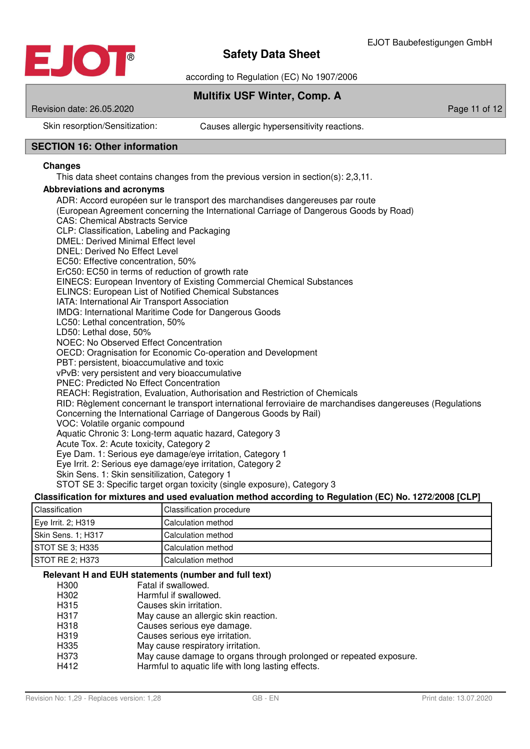

according to Regulation (EC) No 1907/2006

## **Multifix USF Winter, Comp. A**

Revision date: 26.05.2020 **Page 11 of 12** Page 11 of 12

Skin resorption/Sensitization: Causes allergic hypersensitivity reactions.

## **SECTION 16: Other information**

## **Changes**

This data sheet contains changes from the previous version in section(s): 2,3,11.

## **Abbreviations and acronyms**

ADR: Accord européen sur le transport des marchandises dangereuses par route (European Agreement concerning the International Carriage of Dangerous Goods by Road) CAS: Chemical Abstracts Service CLP: Classification, Labeling and Packaging DMEL: Derived Minimal Effect level DNEL: Derived No Effect Level EC50: Effective concentration, 50% ErC50: EC50 in terms of reduction of growth rate EINECS: European Inventory of Existing Commercial Chemical Substances ELINCS: European List of Notified Chemical Substances IATA: International Air Transport Association IMDG: International Maritime Code for Dangerous Goods LC50: Lethal concentration, 50% LD50: Lethal dose, 50% NOEC: No Observed Effect Concentration OECD: Oragnisation for Economic Co-operation and Development PBT: persistent, bioaccumulative and toxic vPvB: very persistent and very bioaccumulative PNEC: Predicted No Effect Concentration REACH: Registration, Evaluation, Authorisation and Restriction of Chemicals RID: Règlement concernant le transport international ferroviaire de marchandises dangereuses (Regulations Concerning the International Carriage of Dangerous Goods by Rail) VOC: Volatile organic compound Aquatic Chronic 3: Long-term aquatic hazard, Category 3 Acute Tox. 2: Acute toxicity, Category 2 Eye Dam. 1: Serious eye damage/eye irritation, Category 1 Eye Irrit. 2: Serious eye damage/eye irritation, Category 2 Skin Sens. 1: Skin sensitilization, Category 1

STOT SE 3: Specific target organ toxicity (single exposure), Category 3

## **Classification for mixtures and used evaluation method according to Regulation (EC) No. 1272/2008 [CLP]**

| Classification     | Classification procedure  |
|--------------------|---------------------------|
| Eye Irrit. 2; H319 | <b>Calculation method</b> |
| Skin Sens. 1; H317 | Calculation method        |
| STOT SE 3: H335    | Calculation method        |
| I STOT RE 2: H373  | Calculation method        |

#### **Relevant H and EUH statements (number and full text)**

- H300 Fatal if swallowed.<br>H302 Harmful if swallow
- H302 Harmful if swallowed.<br>H315 Causes skin irritation.
- Causes skin irritation.
- H317 May cause an allergic skin reaction.
- H318 Causes serious eye damage.
- H319 Causes serious eye irritation.
- H335 May cause respiratory irritation.
- H373 May cause damage to organs through prolonged or repeated exposure.
- H412 Harmful to aquatic life with long lasting effects.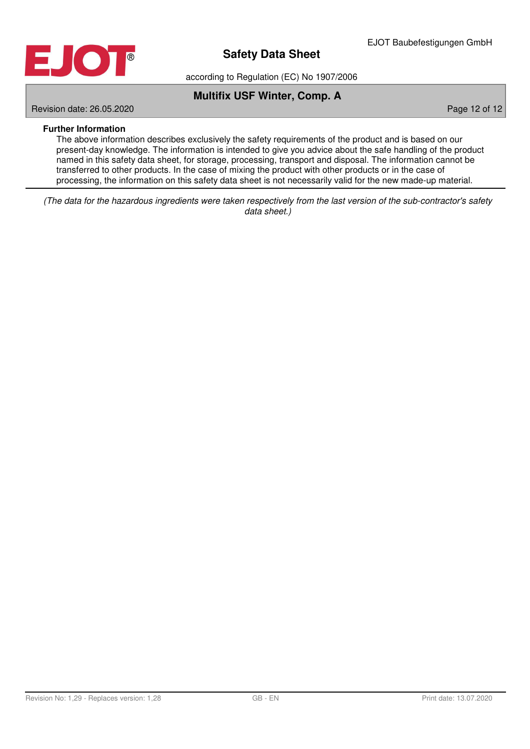

according to Regulation (EC) No 1907/2006

## **Multifix USF Winter, Comp. A**

Revision date: 26.05.2020 **Page 12 of 12** of 12 of 12 of 12 of 12 of 12 of 12 of 12 of 12 of 12 of 12 of 12 of 12 of 12 of 12 of 12 of 12 of 12 of 12 of 12 of 12 of 12 of 12 of 12 of 12 of 12 of 12 of 12 of 12 of 12 of 12

## **Further Information**

The above information describes exclusively the safety requirements of the product and is based on our present-day knowledge. The information is intended to give you advice about the safe handling of the product named in this safety data sheet, for storage, processing, transport and disposal. The information cannot be transferred to other products. In the case of mixing the product with other products or in the case of processing, the information on this safety data sheet is not necessarily valid for the new made-up material.

(The data for the hazardous ingredients were taken respectively from the last version of the sub-contractor's safety data sheet.)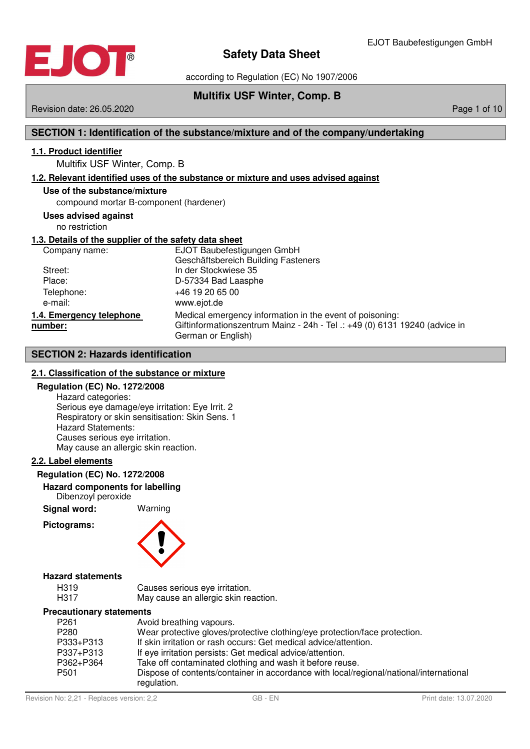

according to Regulation (EC) No 1907/2006

## **Multifix USF Winter, Comp. B**

Revision date: 26.05.2020 **Page 1 of 10** November 2010 12:00 Page 1 of 10

## **SECTION 1: Identification of the substance/mixture and of the company/undertaking**

## **1 . 1 . Product identifier**

Multifix USF Winter, Comp. B

## **1 . 2 . Relevant identified uses of the substance or mixture and uses advised against**

### **Use of the substance/mixture**

compound mortar B-component (hardener)

## **Uses advised against**

no restriction

## **1 . 3 . Details of the supplier of the safety data sheet**

| Company name:                       | EJOT Baubefestigungen GmbH<br>Geschäftsbereich Building Fasteners                                                                                            |
|-------------------------------------|--------------------------------------------------------------------------------------------------------------------------------------------------------------|
| Street:                             | In der Stockwiese 35                                                                                                                                         |
| Place:                              | D-57334 Bad Laasphe                                                                                                                                          |
| Telephone:                          | +46 19 20 65 00                                                                                                                                              |
| e-mail:                             | www.ejot.de                                                                                                                                                  |
| 1.4. Emergency telephone<br>number: | Medical emergency information in the event of poisoning:<br>Giftinformationszentrum Mainz - 24h - Tel .: +49 (0) 6131 19240 (advice in<br>German or English) |

## **SECTION 2: Hazards identification**

## **2 . 1 . Classification of the substance or mixture**

#### **Regulation (EC) No. 1272/2008**

Hazard categories: Serious eye damage/eye irritation: Eye Irrit. 2 Respiratory or skin sensitisation: Skin Sens. 1 Hazard Statements: Causes serious eye irritation. May cause an allergic skin reaction.

## **2 . 2 . Label elements**

#### **Regulation (EC) No. 1272/2008**

#### **Hazard components for labelling** Dibenzoyl peroxide

**Signal word:** Warning

## **Pictograms:**



## **Hazard statements**

| H319 | Causes serious eye irritation.       |
|------|--------------------------------------|
| H317 | May cause an allergic skin reaction. |

#### **Precautionary statements**

| P261      | Avoid breathing vapours.                                                                              |
|-----------|-------------------------------------------------------------------------------------------------------|
| P280      | Wear protective gloves/protective clothing/eye protection/face protection.                            |
| P333+P313 | If skin irritation or rash occurs: Get medical advice/attention.                                      |
| P337+P313 | If eye irritation persists: Get medical advice/attention.                                             |
| P362+P364 | Take off contaminated clothing and wash it before reuse.                                              |
| P501      | Dispose of contents/container in accordance with local/regional/national/international<br>regulation. |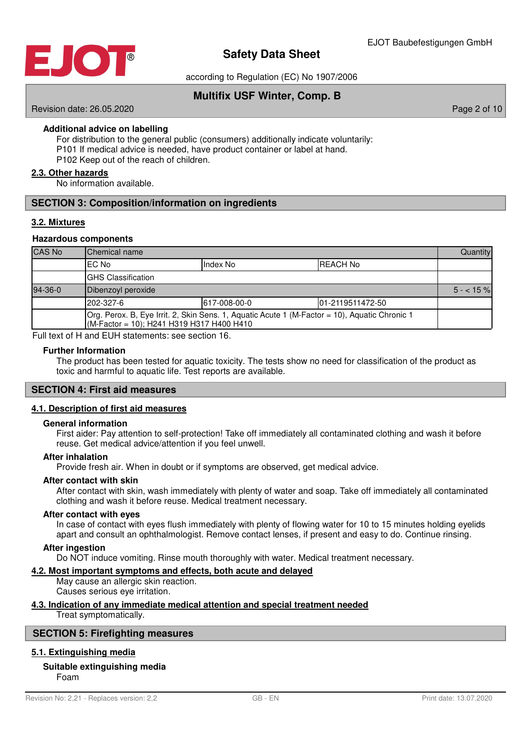

according to Regulation (EC) No 1907/2006

## **Multifix USF Winter, Comp. B**

Revision date: 26.05.2020 **Page 2 of 10** 

**Additional advice on labelling**

For distribution to the general public (consumers) additionally indicate voluntarily: P101 If medical advice is needed, have product container or label at hand. P102 Keep out of the reach of children.

## **2 . 3 . Other hazards**

No information available.

## **SECTION 3: Composition/information on ingredients**

## **3 . 2 . Mixtures**

#### **Hazardous components**

| <b>CAS No</b> | Chemical name                                                                                                                               |  |  | Quantity   |  |  |
|---------------|---------------------------------------------------------------------------------------------------------------------------------------------|--|--|------------|--|--|
|               | EC No<br>Index No<br><b>REACH No</b>                                                                                                        |  |  |            |  |  |
|               | <b>GHS Classification</b>                                                                                                                   |  |  |            |  |  |
| $94-36-0$     | Dibenzoyl peroxide                                                                                                                          |  |  | $5 - 15\%$ |  |  |
|               | 202-327-6<br>617-008-00-0<br>101-2119511472-50                                                                                              |  |  |            |  |  |
|               | [Org. Perox. B, Eye Irrit. 2, Skin Sens. 1, Aquatic Acute 1 (M-Factor = 10), Aquatic Chronic 1<br>(M-Factor = 10); H241 H319 H317 H400 H410 |  |  |            |  |  |

Full text of H and EUH statements: see section 16.

#### **Further Information**

The product has been tested for aquatic toxicity. The tests show no need for classification of the product as toxic and harmful to aquatic life. Test reports are available.

#### **SECTION 4: First aid measures**

## **4 . 1 . Description of first aid measures**

#### **General information**

First aider: Pay attention to self-protection! Take off immediately all contaminated clothing and wash it before reuse. Get medical advice/attention if you feel unwell.

## **After inhalation**

Provide fresh air. When in doubt or if symptoms are observed, get medical advice.

#### **After contact with skin**

After contact with skin, wash immediately with plenty of water and soap. Take off immediately all contaminated clothing and wash it before reuse. Medical treatment necessary.

#### **After contact with eyes**

In case of contact with eyes flush immediately with plenty of flowing water for 10 to 15 minutes holding eyelids apart and consult an ophthalmologist. Remove contact lenses, if present and easy to do. Continue rinsing.

#### **After ingestion**

Do NOT induce vomiting. Rinse mouth thoroughly with water. Medical treatment necessary.

## **4 . 2 . Most important symptoms and effects , both acute and delayed**

May cause an allergic skin reaction. Causes serious eye irritation.

## **4 . 3 . Indication of any immediate medical attention and special treatment needed**

Treat symptomatically.

#### **SECTION 5: Firefighting measures**

#### **5 . 1 . Extinguishing media**

## **Suitable extinguishing media**

Foam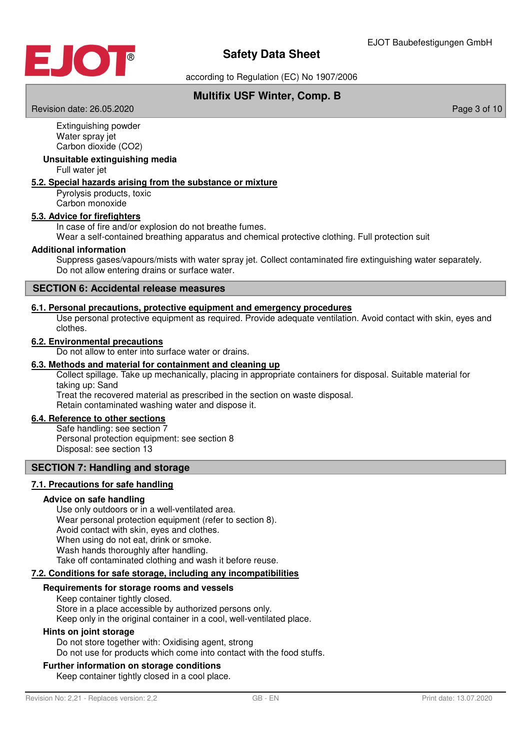

according to Regulation (EC) No 1907/2006

## **Multifix USF Winter, Comp. B**

Revision date: 26.05.2020 **Page 3 of 10** New York 2012 12:00 Page 3 of 10

Extinguishing powder Water spray jet Carbon dioxide (CO2)

## **Unsuitable extinguishing media**

Full water jet

## **5 . 2 . Special hazards arising from the substance or mixture**

Pyrolysis products, toxic Carbon monoxide

## **5 . 3 . Advice for firefighters**

In case of fire and/or explosion do not breathe fumes.

Wear a self-contained breathing apparatus and chemical protective clothing. Full protection suit

#### **Additional information**

Suppress gases/vapours/mists with water spray jet. Collect contaminated fire extinguishing water separately. Do not allow entering drains or surface water.

## **SECTION 6: Accidental release measures**

#### **6 . 1 . Personal precautions , protective equipment and emergency procedures**

Use personal protective equipment as required. Provide adequate ventilation. Avoid contact with skin, eyes and clothes.

#### **6 . 2 . Environmental precautions**

Do not allow to enter into surface water or drains.

## **6 . 3 . Methods and material for containment and cleaning up**

Collect spillage. Take up mechanically, placing in appropriate containers for disposal. Suitable material for taking up: Sand

Treat the recovered material as prescribed in the section on waste disposal. Retain contaminated washing water and dispose it.

#### **6 . 4 . Reference to other sections**

Safe handling: see section 7 Personal protection equipment: see section 8 Disposal: see section 13

## **SECTION 7: Handling and storage**

## **7 . 1 . Precautions for safe handling**

#### **Advice on safe handling**

Use only outdoors or in a well-ventilated area. Wear personal protection equipment (refer to section 8). Avoid contact with skin, eyes and clothes. When using do not eat, drink or smoke. Wash hands thoroughly after handling. Take off contaminated clothing and wash it before reuse.

## **7 . 2 . Conditions for safe storage , including any incompatibilities**

#### **Requirements for storage rooms and vessels**

Keep container tightly closed. Store in a place accessible by authorized persons only. Keep only in the original container in a cool, well-ventilated place.

#### **Hints on joint storage**

Do not store together with: Oxidising agent, strong Do not use for products which come into contact with the food stuffs.

#### **Further information on storage conditions**

Keep container tightly closed in a cool place.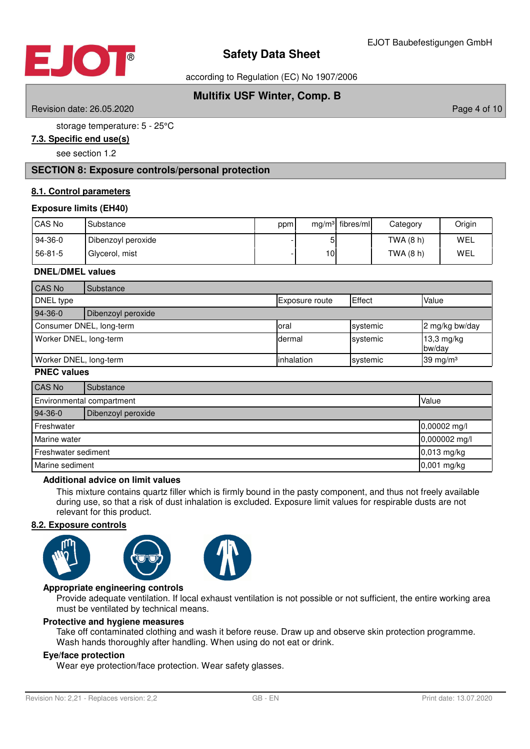

according to Regulation (EC) No 1907/2006

# **Multifix USF Winter, Comp. B**

Revision date: 26.05.2020 **Page 4 of 10** 

storage temperature: 5 - 25°C

## **7 . 3 . Specific end use ( s )**

see section 1.2

## **SECTION 8: Exposure controls/personal protection**

## **8 . 1 . Control parameters**

## **Exposure limits (EH40)**

| CAS No  | Substance          | ppm |     | $mg/m3$ fibres/ml | Category    | Origin |
|---------|--------------------|-----|-----|-------------------|-------------|--------|
| 94-36-0 | Dibenzoyl peroxide |     | וכ  |                   | TWA (8 h)   | WEL    |
| 56-81-5 | Glycerol, mist     |     | 10I |                   | TWA $(8 h)$ | WEL    |

## **DNEL/DMEL values**

| CAS No                 | Substance                |                |          |                      |
|------------------------|--------------------------|----------------|----------|----------------------|
| DNEL type              |                          | Exposure route | Effect   | Value                |
| 94-36-0                | Dibenzoyl peroxide       |                |          |                      |
|                        | Consumer DNEL, long-term | loral          | systemic | 2 mg/kg bw/day       |
| Worker DNEL, long-term |                          | dermal         | systemic | 13,3 mg/kg<br>bw/day |
| Worker DNEL, long-term |                          | linhalation    | systemic | 39 mg/m $3$          |

## **PNEC values**

| CAS No                             | Substance          |  |
|------------------------------------|--------------------|--|
| Environmental compartment<br>Value |                    |  |
| 94-36-0                            | Dibenzoyl peroxide |  |
| Freshwater<br>0,00002 mg/l         |                    |  |
| Marine water                       | 0,000002 mg/l      |  |
| Freshwater sediment                | 0,013 mg/kg        |  |
| Marine sediment                    | 0,001 mg/kg        |  |

#### **Additional advice on limit values**

This mixture contains quartz filler which is firmly bound in the pasty component, and thus not freely available during use, so that a risk of dust inhalation is excluded. Exposure limit values for respirable dusts are not relevant for this product.

## **8 . 2 . Exposure controls**





## **Appropriate engineering controls**

Provide adequate ventilation. If local exhaust ventilation is not possible or not sufficient, the entire working area must be ventilated by technical means.

#### **Protective and hygiene measures**

Take off contaminated clothing and wash it before reuse. Draw up and observe skin protection programme. Wash hands thoroughly after handling. When using do not eat or drink.

## **Eye/face protection**

Wear eye protection/face protection. Wear safety glasses.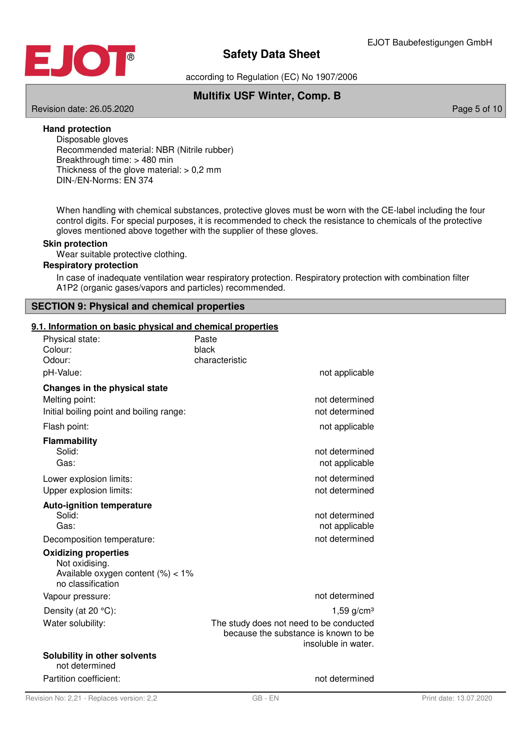



according to Regulation (EC) No 1907/2006

# **Multifix USF Winter, Comp. B**

Revision date: 26.05.2020 **Page 5 of 10** No. 2020 **Page 5 of 10** No. 2020 **Page 5 of 10** 

## **Hand protection**

Disposable gloves Recommended material: NBR (Nitrile rubber) Breakthrough time: > 480 min Thickness of the glove material:  $> 0.2$  mm DIN-/EN-Norms: EN 374

When handling with chemical substances, protective gloves must be worn with the CE-label including the four control digits. For special purposes, it is recommended to check the resistance to chemicals of the protective gloves mentioned above together with the supplier of these gloves.

## **Skin protection**

Wear suitable protective clothing.

## **Respiratory protection**

In case of inadequate ventilation wear respiratory protection. Respiratory protection with combination filter A1P2 (organic gases/vapors and particles) recommended.

## **SECTION 9: Physical and chemical properties**

## **9 . 1 . Information on basic physical and chemical properties**

| Physical state:<br>Colour:<br>Odour:                                                                      | Paste<br>black<br>characteristic                                                                       |
|-----------------------------------------------------------------------------------------------------------|--------------------------------------------------------------------------------------------------------|
| pH-Value:                                                                                                 | not applicable                                                                                         |
| Changes in the physical state                                                                             |                                                                                                        |
| Melting point:                                                                                            | not determined                                                                                         |
| Initial boiling point and boiling range:                                                                  | not determined                                                                                         |
| Flash point:                                                                                              | not applicable                                                                                         |
| <b>Flammability</b>                                                                                       |                                                                                                        |
| Solid:                                                                                                    | not determined                                                                                         |
| Gas:                                                                                                      | not applicable                                                                                         |
| Lower explosion limits:                                                                                   | not determined                                                                                         |
| Upper explosion limits:                                                                                   | not determined                                                                                         |
| <b>Auto-ignition temperature</b>                                                                          |                                                                                                        |
| Solid:                                                                                                    | not determined                                                                                         |
| Gas:                                                                                                      | not applicable                                                                                         |
| Decomposition temperature:                                                                                | not determined                                                                                         |
| <b>Oxidizing properties</b><br>Not oxidising.<br>Available oxygen content $(\%)<1\%$<br>no classification |                                                                                                        |
| Vapour pressure:                                                                                          | not determined                                                                                         |
| Density (at 20 °C):                                                                                       | 1,59 $g/cm3$                                                                                           |
| Water solubility:                                                                                         | The study does not need to be conducted<br>because the substance is known to be<br>insoluble in water. |
| Solubility in other solvents<br>not determined                                                            |                                                                                                        |
| Partition coefficient:                                                                                    | not determined                                                                                         |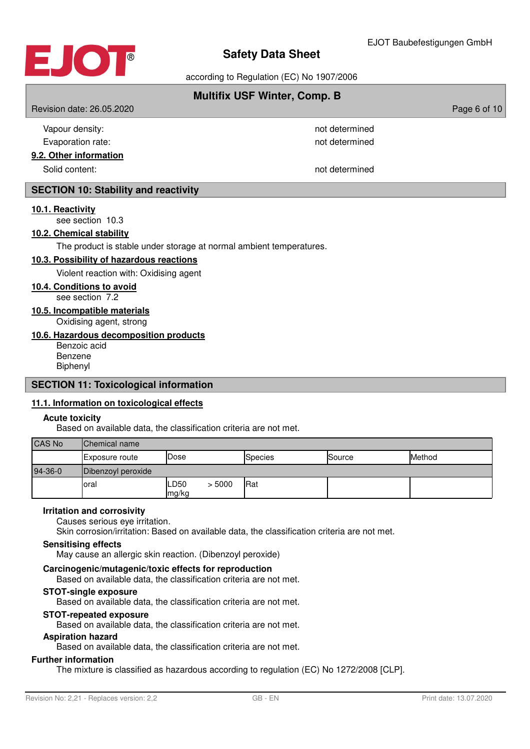

according to Regulation (EC) No 1907/2006

## **Multifix USF Winter, Comp. B**

Revision date: 26.05.2020 **Page 6 of 10** November 2012 12:00 Page 6 of 10

| Vapour density:        | not determined |
|------------------------|----------------|
| Evaporation rate:      | not determined |
| 9.2. Other information |                |
| Solid content:         | not determined |

## **SECTION 10: Stability and reactivity**

#### **10 . 1 . Reactivity**

see section 10.3

## **10 . 2 . Chemical stability**

The product is stable under storage at normal ambient temperatures.

#### **10 . 3 . Possibility of hazardous reactions**

Violent reaction with: Oxidising agent

## **10 . 4 . Conditions to avoid**

see section 7.2

**10 . 5 . Incompatible materials**

Oxidising agent, strong

## **10 . 6 . Hazardous decomposition products**

Benzoic acid Benzene Biphenyl

## **SECTION 11: Toxicological information**

## **11 . 1 . Information on toxicological effects**

#### **Acute toxicity**

Based on available data, the classification criteria are not met.

| <b>CAS No</b> | Chemical name         |               |        |         |        |        |
|---------------|-----------------------|---------------|--------|---------|--------|--------|
|               | <b>Exposure route</b> | Dose          |        | Species | Source | Method |
| $94-36-0$     | Dibenzoyl peroxide    |               |        |         |        |        |
|               | Ioral                 | LD50<br>mg/kg | > 5000 | Rat     |        |        |

#### **Irritation and corrosivity**

Causes serious eye irritation.

Skin corrosion/irritation: Based on available data, the classification criteria are not met.

## **Sensitising effects**

May cause an allergic skin reaction. (Dibenzoyl peroxide)

## **Carcinogenic/mutagenic/toxic effects for reproduction**

Based on available data, the classification criteria are not met.

## **STOT-single exposure**

Based on available data, the classification criteria are not met.

## **STOT-repeated exposure**

Based on available data, the classification criteria are not met.

#### **Aspiration hazard**

Based on available data, the classification criteria are not met.

#### **Further information**

The mixture is classified as hazardous according to regulation (EC) No 1272/2008 [CLP].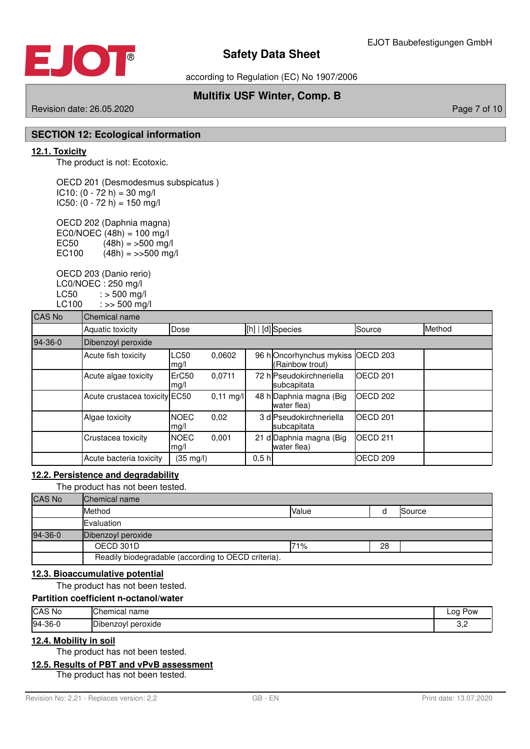

according to Regulation (EC) No 1907/2006

## **Multifix USF Winter, Comp. B**

## Revision date: 26.05.2020 **Page 7 of 10** New York 2012 12:00 Page 7 of 10

## **SECTION 12: Ecological information**

## **12 . 1 . Toxicity**

The product is not: Ecotoxic.

OECD 201 (Desmodesmus subspicatus )  $IC10: (0 - 72 h) = 30 mg/l$  $IC50: (0 - 72 h) = 150 mg/l$ 

OECD 202 (Daphnia magna) EC0/NOEC  $(48h) = 100$  mg/l<br>EC50  $(48h) = 500$  mg/ EC50  $(48h) = 500 \text{ mg/l}$ <br>EC100  $(48h) = 500 \text{ mg}$  $(48h) = >>500$  mg/l

OECD 203 (Danio rerio) LC0/NOEC : 250 mg/l  $LC50$  :  $> 500$  mg/l LC100 : >> 500 mg/l

| <b>CAS No</b> | Chemical name                 |                     |                     |      |                                            |                     |        |  |
|---------------|-------------------------------|---------------------|---------------------|------|--------------------------------------------|---------------------|--------|--|
|               | Aquatic toxicity              | Dose                |                     |      | [h]   [d] Species                          | Source              | Method |  |
| $94-36-0$     | Dibenzoyl peroxide            |                     |                     |      |                                            |                     |        |  |
|               | Acute fish toxicity           | <b>LC50</b><br>mg/l | 0.0602              |      | 96 hOncorhynchus mykiss<br>(Rainbow trout) | OECD <sub>203</sub> |        |  |
|               | Acute algae toxicity          | ErC50<br>mg/l       | 0.0711              |      | 72 h Pseudokirchneriella<br>subcapitata    | <b>IOECD 201</b>    |        |  |
|               | Acute crustacea toxicity EC50 |                     | $0,11 \text{ mg/l}$ |      | 48 h Daphnia magna (Big<br>water flea)     | OECD <sub>202</sub> |        |  |
|               | Algae toxicity                | <b>NOEC</b><br>mg/l | 0,02                |      | 3 dlPseudokirchneriella<br>subcapitata     | <b>IOECD 201</b>    |        |  |
|               | Crustacea toxicity            | <b>NOEC</b><br>mg/l | 0,001               |      | 21 d Daphnia magna (Big<br>water flea)     | OECD <sub>211</sub> |        |  |
|               | Acute bacteria toxicity       | $(35 \text{ mg/l})$ |                     | 0,5h |                                            | OECD <sub>209</sub> |        |  |

## **12 . 2 . Persistence and degradability**

The product has not been tested.

| <b>CAS No</b> | <b>Chemical name</b>                                |       |    |        |
|---------------|-----------------------------------------------------|-------|----|--------|
|               | Method                                              | Value |    | Source |
|               | Evaluation                                          |       |    |        |
| 94-36-0       | Dibenzoyl peroxide                                  |       |    |        |
|               | OECD 301D                                           | 71%   | 28 |        |
|               | Readily biodegradable (according to OECD criteria). |       |    |        |

## **12 . 3 . Bioaccumulative potential**

The product has not been tested.

## **Partition coefficient n-octanol/water**

| CAS No         | IChemical name        | ∟oq ′<br>Pow |
|----------------|-----------------------|--------------|
| $94-36-0$<br>◡ | peroxide<br>Dibenzoyl | ے.ب          |

## **12 . 4 . Mobility in soil**

The product has not been tested.

#### **12 . 5 . Results of PBT and vPvB assessment**

The product has not been tested.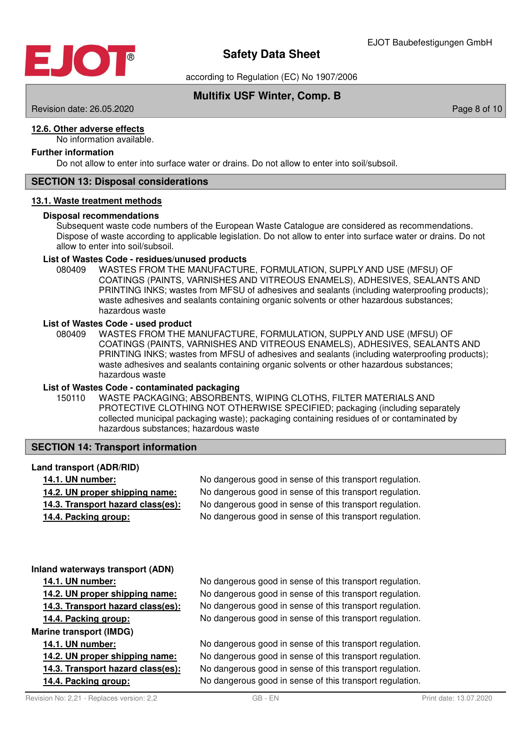

according to Regulation (EC) No 1907/2006

## **Multifix USF Winter, Comp. B**

Revision date: 26.05.2020 **Page 8 of 10** 

## **12 . 6 . Other adverse effects**

No information available.

## **Further information**

Do not allow to enter into surface water or drains. Do not allow to enter into soil/subsoil.

## **SECTION 13: Disposal considerations**

#### **13 . 1 . Waste treatment methods**

## **Disposal recommendations**

Subsequent waste code numbers of the European Waste Catalogue are considered as recommendations. Dispose of waste according to applicable legislation. Do not allow to enter into surface water or drains. Do not allow to enter into soil/subsoil.

#### **List of Wastes Code - residues/unused products**

080409 WASTES FROM THE MANUFACTURE, FORMULATION, SUPPLY AND USE (MFSU) OF COATINGS (PAINTS, VARNISHES AND VITREOUS ENAMELS), ADHESIVES, SEALANTS AND PRINTING INKS; wastes from MFSU of adhesives and sealants (including waterproofing products); waste adhesives and sealants containing organic solvents or other hazardous substances; hazardous waste

#### **List of Wastes Code - used product**

WASTES FROM THE MANUFACTURE, FORMULATION, SUPPLY AND USE (MFSU) OF COATINGS (PAINTS, VARNISHES AND VITREOUS ENAMELS), ADHESIVES, SEALANTS AND PRINTING INKS; wastes from MFSU of adhesives and sealants (including waterproofing products); waste adhesives and sealants containing organic solvents or other hazardous substances; hazardous waste 080409

#### **List of Wastes Code - contaminated packaging**

WASTE PACKAGING; ABSORBENTS, WIPING CLOTHS, FILTER MATERIALS AND PROTECTIVE CLOTHING NOT OTHERWISE SPECIFIED; packaging (including separately collected municipal packaging waste); packaging containing residues of or contaminated by hazardous substances; hazardous waste 150110

## **SECTION 14: Transport information**

#### **Land transport (ADR/RID)**

**14.1. UN number:** No dangerous good in sense of this transport regulation. **14.2. UN proper shipping name:** No dangerous good in sense of this transport regulation. **14.3. Transport hazard class (es):** No dangerous good in sense of this transport regulation. **14.4. Packing group:** No dangerous good in sense of this transport regulation.

#### **Inland waterways transport (ADN)**

**Marine transport (IMDG)**

- 
- 
- 

**14.1. UN number:** No dangerous good in sense of this transport regulation. **14.2. UN proper shipping name:** No dangerous good in sense of this transport regulation. **14.3. Transport hazard class (es):** No dangerous good in sense of this transport regulation. **14.4. Packing group:** No dangerous good in sense of this transport regulation.

**14.1. UN number:** No dangerous good in sense of this transport regulation. **14.2. UN proper shipping name:** No dangerous good in sense of this transport regulation. **14.3. Transport hazard class (es):** No dangerous good in sense of this transport regulation. **14.4. Packing group:** No dangerous good in sense of this transport regulation.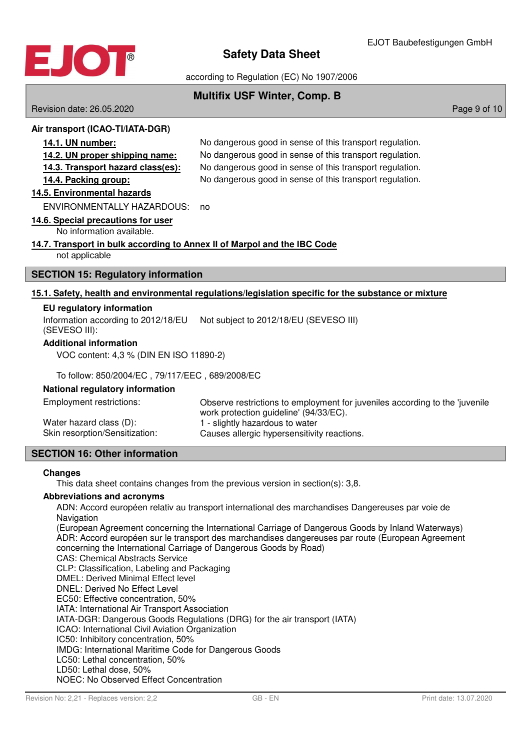

according to Regulation (EC) No 1907/2006

## **Multifix USF Winter, Comp. B**

Revision date: 26.05.2020 **Page 9 of 10** New York 2010 12:00 Page 9 of 10

## **Air transport (ICAO-TI/IATA-DGR)**

**14.1. UN number:** No dangerous good in sense of this transport regulation. **14.2. UN proper shipping name:** No dangerous good in sense of this transport regulation. **14.3. Transport hazard class (es):** No dangerous good in sense of this transport regulation. **14.4. Packing group:** No dangerous good in sense of this transport regulation.

## **14 . 5 . Environmental hazards**

ENVIRONMENTALLY HAZARDOUS: no

## **14 . 6 . Special precautions for user**

No information available.

## **14 . 7 . Transport in bulk according to Annex II of Marpol and the IBC Code**

not applicable

## **SECTION 15: Regulatory information**

## **15 . 1 . Safety , health and environmental regulations / legislation specific for the substance or mixture**

## **EU regulatory information**

Information according to 2012/18/EU Not subject to 2012/18/EU (SEVESO III) (SEVESO III):

## **Additional information**

VOC content: 4,3 % (DIN EN ISO 11890-2)

To follow: 850/2004/EC , 79/117/EEC , 689/2008/EC

## **National regulatory information**

| Employment restrictions:       | Observe restrictions to employment for juveniles according to the 'juvenile |
|--------------------------------|-----------------------------------------------------------------------------|
|                                | work protection guideline' (94/33/EC).                                      |
| Water hazard class (D):        | 1 - slightly hazardous to water                                             |
| Skin resorption/Sensitization: | Causes allergic hypersensitivity reactions.                                 |

## **SECTION 16: Other information**

## **Changes**

This data sheet contains changes from the previous version in section(s): 3,8.

## **Abbreviations and acronyms**

ADN: Accord européen relativ au transport international des marchandises Dangereuses par voie de **Navigation** 

(European Agreement concerning the International Carriage of Dangerous Goods by Inland Waterways) ADR: Accord européen sur le transport des marchandises dangereuses par route (European Agreement concerning the International Carriage of Dangerous Goods by Road)

CAS: Chemical Abstracts Service

CLP: Classification, Labeling and Packaging

DMEL: Derived Minimal Effect level

DNEL: Derived No Effect Level

EC50: Effective concentration, 50%

IATA: International Air Transport Association

IATA-DGR: Dangerous Goods Regulations (DRG) for the air transport (IATA)

ICAO: International Civil Aviation Organization

IC50: Inhibitory concentration, 50%

IMDG: International Maritime Code for Dangerous Goods

LC50: Lethal concentration, 50%